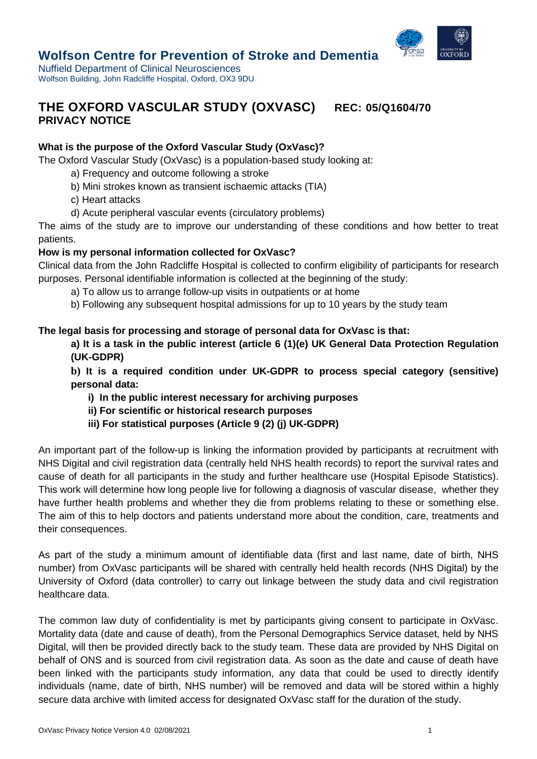

# **Wolfson Centre for Prevention of Stroke and Dementia**

Nuffield Department of Clinical Neurosciences Wolfson Building, John Radcliffe Hospital, Oxford, OX3 9DU

# **THE OXFORD VASCULAR STUDY (OXVASC) REC: 05/Q1604/70 PRIVACY NOTICE**

# **What is the purpose of the Oxford Vascular Study (OxVasc)?**

The Oxford Vascular Study (OxVasc) is a population-based study looking at:

- a) Frequency and outcome following a stroke
- b) Mini strokes known as transient ischaemic attacks (TIA)
- c) Heart attacks
- d) Acute peripheral vascular events (circulatory problems)

The aims of the study are to improve our understanding of these conditions and how better to treat patients.

# **How is my personal information collected for OxVasc?**

Clinical data from the John Radcliffe Hospital is collected to confirm eligibility of participants for research purposes. Personal identifiable information is collected at the beginning of the study:

- a) To allow us to arrange follow-up visits in outpatients or at home
- b) Following any subsequent hospital admissions for up to 10 years by the study team

# **The legal basis for processing and storage of personal data for OxVasc is that:**

**a) It is a task in the public interest (article 6 (1)(e) UK General Data Protection Regulation (UK-GDPR)**

**b) It is a required condition under UK-GDPR to process special category (sensitive) personal data:**

- **i) In the public interest necessary for archiving purposes**
- **ii) For scientific or historical research purposes**
- **iii) For statistical purposes (Article 9 (2) (j) UK-GDPR)**

An important part of the follow-up is linking the information provided by participants at recruitment with NHS Digital and civil registration data (centrally held NHS health records) to report the survival rates and cause of death for all participants in the study and further healthcare use (Hospital Episode Statistics). This work will determine how long people live for following a diagnosis of vascular disease, whether they have further health problems and whether they die from problems relating to these or something else. The aim of this to help doctors and patients understand more about the condition, care, treatments and their consequences.

As part of the study a minimum amount of identifiable data (first and last name, date of birth, NHS number) from OxVasc participants will be shared with centrally held health records (NHS Digital) by the University of Oxford (data controller) to carry out linkage between the study data and civil registration healthcare data.

The common law duty of confidentiality is met by participants giving consent to participate in OxVasc. Mortality data (date and cause of death), from the Personal Demographics Service dataset, held by NHS Digital, will then be provided directly back to the study team. These data are provided by NHS Digital on behalf of ONS and is sourced from civil registration data. As soon as the date and cause of death have been linked with the participants study information, any data that could be used to directly identify individuals (name, date of birth, NHS number) will be removed and data will be stored within a highly secure data archive with limited access for designated OxVasc staff for the duration of the study.